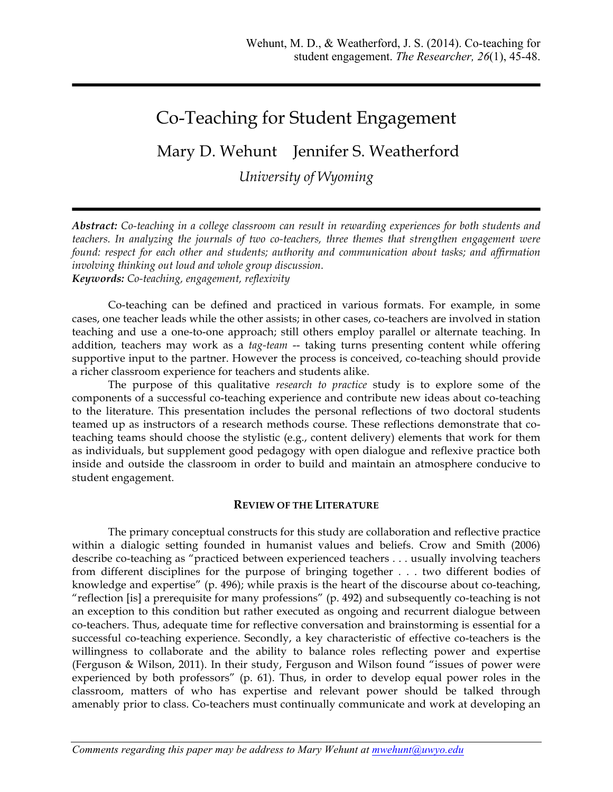# Co-Teaching for Student Engagement

# Mary D. Wehunt Jennifer S. Weatherford

*University of Wyoming*

*Abstract: Co-teaching in a college classroom can result in rewarding experiences for both students and teachers. In analyzing the journals of two co-teachers, three themes that strengthen engagement were found: respect for each other and students; authority and communication about tasks; and affirmation involving thinking out loud and whole group discussion. Keywords: Co-teaching, engagement, reflexivity*

Co-teaching can be defined and practiced in various formats. For example, in some cases, one teacher leads while the other assists; in other cases, co-teachers are involved in station teaching and use a one-to-one approach; still others employ parallel or alternate teaching. In addition, teachers may work as a *tag-team* -- taking turns presenting content while offering supportive input to the partner. However the process is conceived, co-teaching should provide a richer classroom experience for teachers and students alike.

The purpose of this qualitative *research to practice* study is to explore some of the components of a successful co-teaching experience and contribute new ideas about co-teaching to the literature. This presentation includes the personal reflections of two doctoral students teamed up as instructors of a research methods course. These reflections demonstrate that coteaching teams should choose the stylistic (e.g., content delivery) elements that work for them as individuals, but supplement good pedagogy with open dialogue and reflexive practice both inside and outside the classroom in order to build and maintain an atmosphere conducive to student engagement.

## **REVIEW OF THE LITERATURE**

The primary conceptual constructs for this study are collaboration and reflective practice within a dialogic setting founded in humanist values and beliefs. Crow and Smith (2006) describe co-teaching as "practiced between experienced teachers . . . usually involving teachers from different disciplines for the purpose of bringing together . . . two different bodies of knowledge and expertise" (p. 496); while praxis is the heart of the discourse about co-teaching, "reflection [is] a prerequisite for many professions" (p. 492) and subsequently co-teaching is not an exception to this condition but rather executed as ongoing and recurrent dialogue between co-teachers. Thus, adequate time for reflective conversation and brainstorming is essential for a successful co-teaching experience. Secondly, a key characteristic of effective co-teachers is the willingness to collaborate and the ability to balance roles reflecting power and expertise (Ferguson & Wilson, 2011). In their study, Ferguson and Wilson found "issues of power were experienced by both professors" (p. 61). Thus, in order to develop equal power roles in the classroom, matters of who has expertise and relevant power should be talked through amenably prior to class. Co-teachers must continually communicate and work at developing an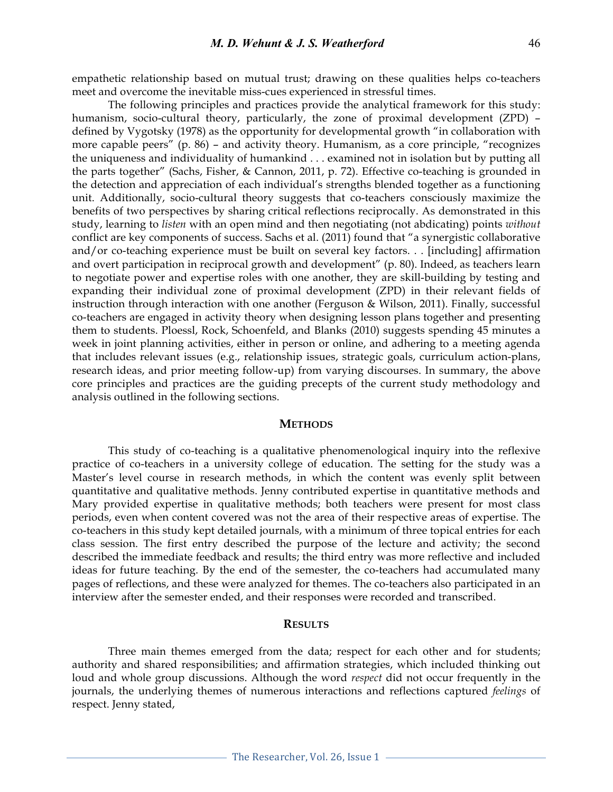empathetic relationship based on mutual trust; drawing on these qualities helps co-teachers meet and overcome the inevitable miss-cues experienced in stressful times.

The following principles and practices provide the analytical framework for this study: humanism, socio-cultural theory, particularly, the zone of proximal development (ZPD) – defined by Vygotsky (1978) as the opportunity for developmental growth "in collaboration with more capable peers" (p. 86) – and activity theory. Humanism, as a core principle, "recognizes the uniqueness and individuality of humankind . . . examined not in isolation but by putting all the parts together" (Sachs, Fisher, & Cannon, 2011, p. 72). Effective co-teaching is grounded in the detection and appreciation of each individual's strengths blended together as a functioning unit. Additionally, socio-cultural theory suggests that co-teachers consciously maximize the benefits of two perspectives by sharing critical reflections reciprocally. As demonstrated in this study, learning to *listen* with an open mind and then negotiating (not abdicating) points *without* conflict are key components of success. Sachs et al. (2011) found that "a synergistic collaborative and/or co-teaching experience must be built on several key factors. . . [including] affirmation and overt participation in reciprocal growth and development" (p. 80). Indeed, as teachers learn to negotiate power and expertise roles with one another, they are skill-building by testing and expanding their individual zone of proximal development (ZPD) in their relevant fields of instruction through interaction with one another (Ferguson & Wilson, 2011). Finally, successful co-teachers are engaged in activity theory when designing lesson plans together and presenting them to students. Ploessl, Rock, Schoenfeld, and Blanks (2010) suggests spending 45 minutes a week in joint planning activities, either in person or online, and adhering to a meeting agenda that includes relevant issues (e.g., relationship issues, strategic goals, curriculum action-plans, research ideas, and prior meeting follow-up) from varying discourses. In summary, the above core principles and practices are the guiding precepts of the current study methodology and analysis outlined in the following sections.

#### **METHODS**

This study of co-teaching is a qualitative phenomenological inquiry into the reflexive practice of co-teachers in a university college of education. The setting for the study was a Master's level course in research methods, in which the content was evenly split between quantitative and qualitative methods. Jenny contributed expertise in quantitative methods and Mary provided expertise in qualitative methods; both teachers were present for most class periods, even when content covered was not the area of their respective areas of expertise. The co-teachers in this study kept detailed journals, with a minimum of three topical entries for each class session. The first entry described the purpose of the lecture and activity; the second described the immediate feedback and results; the third entry was more reflective and included ideas for future teaching. By the end of the semester, the co-teachers had accumulated many pages of reflections, and these were analyzed for themes. The co-teachers also participated in an interview after the semester ended, and their responses were recorded and transcribed.

#### **RESULTS**

Three main themes emerged from the data; respect for each other and for students; authority and shared responsibilities; and affirmation strategies, which included thinking out loud and whole group discussions. Although the word *respect* did not occur frequently in the journals, the underlying themes of numerous interactions and reflections captured *feelings* of respect. Jenny stated,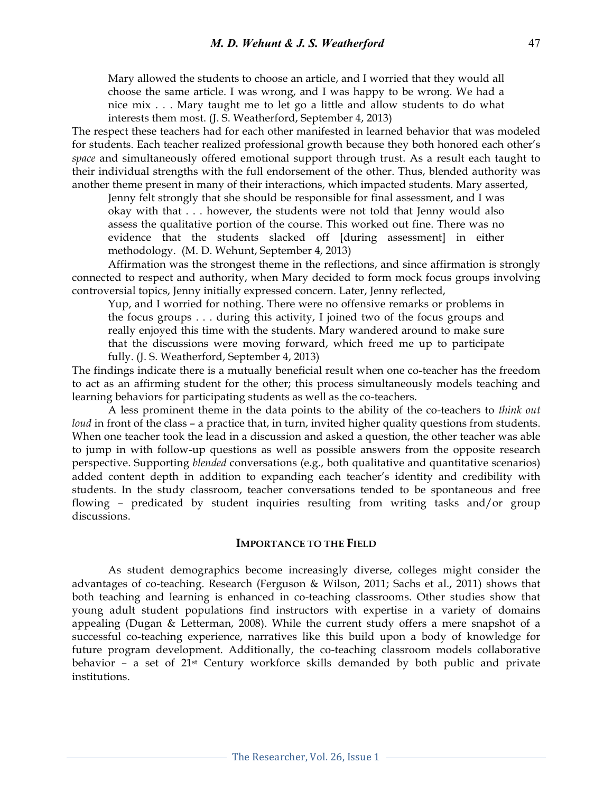Mary allowed the students to choose an article, and I worried that they would all choose the same article. I was wrong, and I was happy to be wrong. We had a nice mix . . . Mary taught me to let go a little and allow students to do what interests them most. (J. S. Weatherford, September 4, 2013)

The respect these teachers had for each other manifested in learned behavior that was modeled for students. Each teacher realized professional growth because they both honored each other's *space* and simultaneously offered emotional support through trust. As a result each taught to their individual strengths with the full endorsement of the other. Thus, blended authority was another theme present in many of their interactions, which impacted students. Mary asserted,

Jenny felt strongly that she should be responsible for final assessment, and I was okay with that . . . however, the students were not told that Jenny would also assess the qualitative portion of the course. This worked out fine. There was no evidence that the students slacked off [during assessment] in either methodology. (M. D. Wehunt, September 4, 2013)

Affirmation was the strongest theme in the reflections, and since affirmation is strongly connected to respect and authority, when Mary decided to form mock focus groups involving controversial topics, Jenny initially expressed concern. Later, Jenny reflected,

Yup, and I worried for nothing. There were no offensive remarks or problems in the focus groups . . . during this activity, I joined two of the focus groups and really enjoyed this time with the students. Mary wandered around to make sure that the discussions were moving forward, which freed me up to participate fully. (J. S. Weatherford, September 4, 2013)

The findings indicate there is a mutually beneficial result when one co-teacher has the freedom to act as an affirming student for the other; this process simultaneously models teaching and learning behaviors for participating students as well as the co-teachers.

A less prominent theme in the data points to the ability of the co-teachers to *think out loud* in front of the class – a practice that, in turn, invited higher quality questions from students. When one teacher took the lead in a discussion and asked a question, the other teacher was able to jump in with follow-up questions as well as possible answers from the opposite research perspective. Supporting *blended* conversations (e.g., both qualitative and quantitative scenarios) added content depth in addition to expanding each teacher's identity and credibility with students. In the study classroom, teacher conversations tended to be spontaneous and free flowing – predicated by student inquiries resulting from writing tasks and/or group discussions.

#### **IMPORTANCE TO THE FIELD**

As student demographics become increasingly diverse, colleges might consider the advantages of co-teaching. Research (Ferguson & Wilson, 2011; Sachs et al., 2011) shows that both teaching and learning is enhanced in co-teaching classrooms. Other studies show that young adult student populations find instructors with expertise in a variety of domains appealing (Dugan & Letterman, 2008). While the current study offers a mere snapshot of a successful co-teaching experience, narratives like this build upon a body of knowledge for future program development. Additionally, the co-teaching classroom models collaborative behavior – a set of 21st Century workforce skills demanded by both public and private institutions.